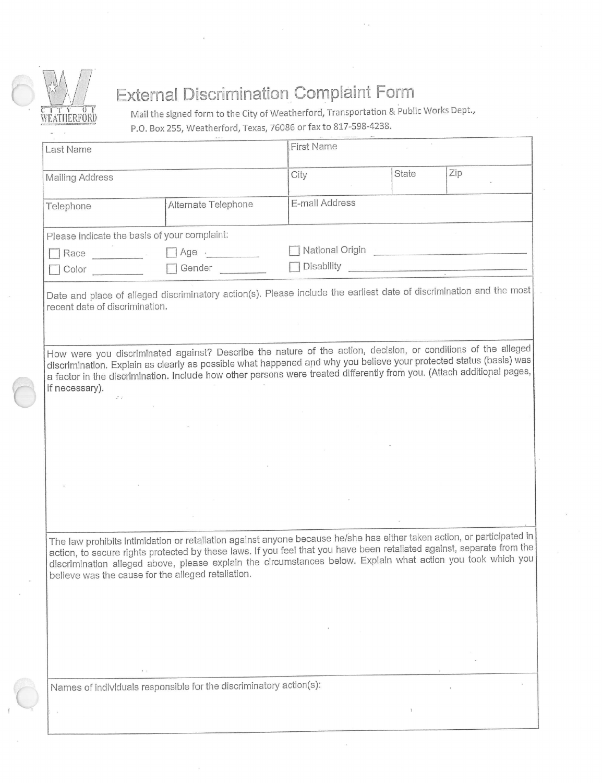

## External Discrimination Complaint Form

**Mail the signed form to the City of Weatherford, Transportation & Public Works Dept.,** P.O. Box 255, Weatherford, Texas, 76086 or fax to 817-598-4238.

| Last Name                                          |                                                                                                                                                                                                                                                                                                                                                                   | <b>FIRST Name</b>                       |       |     |
|----------------------------------------------------|-------------------------------------------------------------------------------------------------------------------------------------------------------------------------------------------------------------------------------------------------------------------------------------------------------------------------------------------------------------------|-----------------------------------------|-------|-----|
| Mailing Address                                    |                                                                                                                                                                                                                                                                                                                                                                   | City                                    | State | Zip |
| Telephone                                          | Alternate Telephone                                                                                                                                                                                                                                                                                                                                               | E-mail Address                          |       |     |
| Please indicate the basis of your complaint:       |                                                                                                                                                                                                                                                                                                                                                                   |                                         |       |     |
| Race <b>Race</b>                                   | $\Box$ Age $\cdot$                                                                                                                                                                                                                                                                                                                                                | National Origin National Communications |       |     |
| $\Box$ Color                                       | Gender                                                                                                                                                                                                                                                                                                                                                            | Disability <b>Disability</b>            |       |     |
| recent date of discrimination.                     | Date and place of alleged discriminatory action(s). Please include the earliest date of discrimination and the most                                                                                                                                                                                                                                               |                                         |       |     |
| if necessary).<br>$\mathcal{L} \times \mathcal{L}$ | How were you discriminated against? Describe the nature of the action, decision, or conditions of the alleged<br>discrimination. Explain as clearly as possible what happened and why you believe your protected status (basis) was<br>a factor in the discrimination. Include how other persons were treated differently from you. (Attach additional pages,     |                                         |       |     |
|                                                    |                                                                                                                                                                                                                                                                                                                                                                   |                                         |       |     |
|                                                    |                                                                                                                                                                                                                                                                                                                                                                   |                                         |       |     |
|                                                    |                                                                                                                                                                                                                                                                                                                                                                   |                                         |       |     |
| believe was the cause for the alleged retaliation. | The law prohibits intimidation or retaliation against anyone because he/she has either taken action, or participated in<br>action, to secure rights protected by these laws. If you feel that you have been retaliated against, separate from the<br>discrimination alleged above, please explain the circumstances below. Explain what action you took which you |                                         |       |     |
|                                                    |                                                                                                                                                                                                                                                                                                                                                                   |                                         |       |     |
|                                                    |                                                                                                                                                                                                                                                                                                                                                                   |                                         |       |     |
|                                                    |                                                                                                                                                                                                                                                                                                                                                                   |                                         |       |     |
| $t\rightarrow$                                     |                                                                                                                                                                                                                                                                                                                                                                   |                                         |       |     |
|                                                    | Names of individuals responsible for the discriminatory action(s):                                                                                                                                                                                                                                                                                                |                                         |       |     |
|                                                    |                                                                                                                                                                                                                                                                                                                                                                   |                                         |       |     |